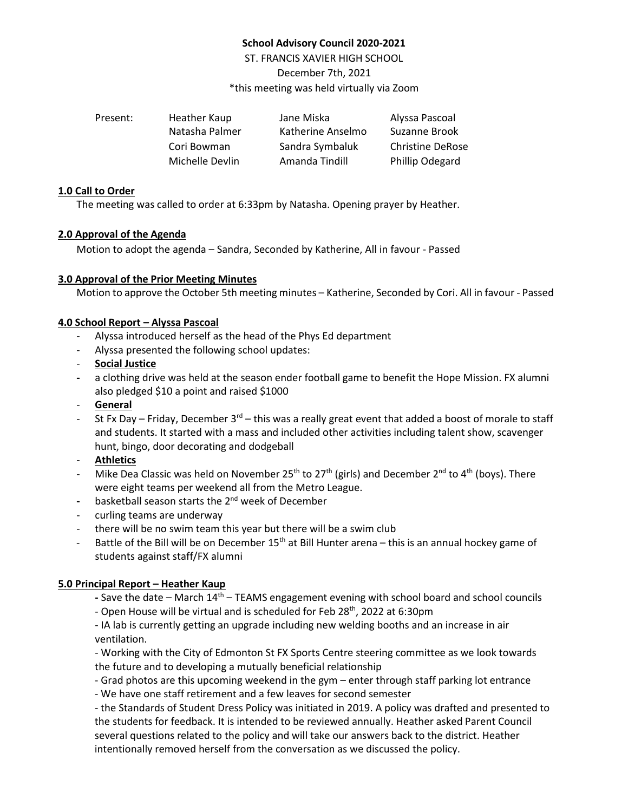# **School Advisory Council 2020-2021**

ST. FRANCIS XAVIER HIGH SCHOOL December 7th, 2021 \*this meeting was held virtually via Zoom

| Present: | Heather Kaup    | Jane Miska        | Alyssa Pascoal          |
|----------|-----------------|-------------------|-------------------------|
|          | Natasha Palmer  | Katherine Anselmo | Suzanne Brook           |
|          | Cori Bowman     | Sandra Symbaluk   | <b>Christine DeRose</b> |
|          | Michelle Devlin | Amanda Tindill    | Phillip Odegard         |

### **1.0 Call to Order**

The meeting was called to order at 6:33pm by Natasha. Opening prayer by Heather.

### **2.0 Approval of the Agenda**

Motion to adopt the agenda – Sandra, Seconded by Katherine, All in favour - Passed

## **3.0 Approval of the Prior Meeting Minutes**

Motion to approve the October 5th meeting minutes – Katherine, Seconded by Cori. All in favour - Passed

## **4.0 School Report – Alyssa Pascoal**

- Alyssa introduced herself as the head of the Phys Ed department
- Alyssa presented the following school updates:
- **Social Justice**
- **-** a clothing drive was held at the season ender football game to benefit the Hope Mission. FX alumni also pledged \$10 a point and raised \$1000
- **General**
- St Fx Day Friday, December  $3^{rd}$  this was a really great event that added a boost of morale to staff and students. It started with a mass and included other activities including talent show, scavenger hunt, bingo, door decorating and dodgeball
- **Athletics**
- Mike Dea Classic was held on November 25<sup>th</sup> to 27<sup>th</sup> (girls) and December 2<sup>nd</sup> to 4<sup>th</sup> (boys). There were eight teams per weekend all from the Metro League.
- **-** basketball season starts the 2nd week of December
- curling teams are underway
- there will be no swim team this year but there will be a swim club
- Battle of the Bill will be on December  $15<sup>th</sup>$  at Bill Hunter arena this is an annual hockey game of students against staff/FX alumni

## **5.0 Principal Report – Heather Kaup**

- **-** Save the date March 14th TEAMS engagement evening with school board and school councils
- Open House will be virtual and is scheduled for Feb 28<sup>th</sup>, 2022 at 6:30pm
- IA lab is currently getting an upgrade including new welding booths and an increase in air ventilation.

- Working with the City of Edmonton St FX Sports Centre steering committee as we look towards the future and to developing a mutually beneficial relationship

- Grad photos are this upcoming weekend in the gym enter through staff parking lot entrance
- We have one staff retirement and a few leaves for second semester

- the Standards of Student Dress Policy was initiated in 2019. A policy was drafted and presented to the students for feedback. It is intended to be reviewed annually. Heather asked Parent Council several questions related to the policy and will take our answers back to the district. Heather intentionally removed herself from the conversation as we discussed the policy.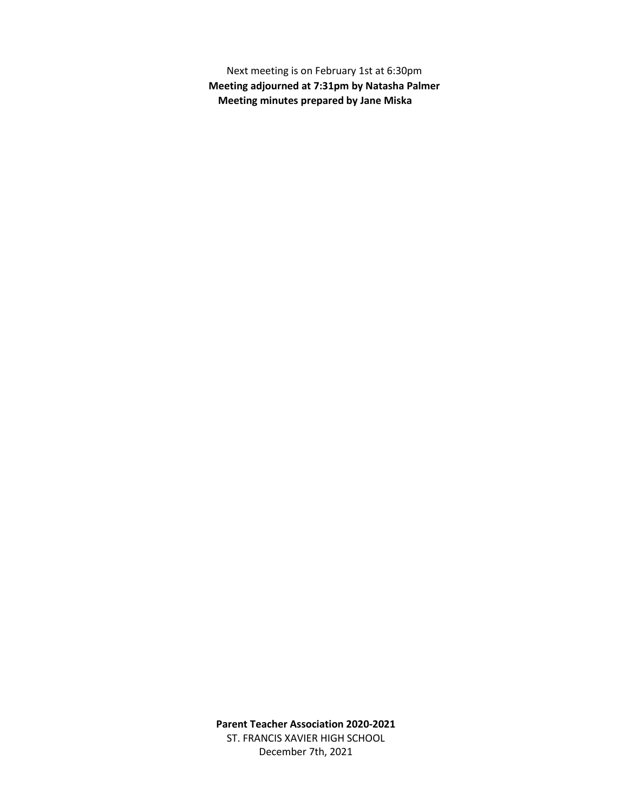Next meeting is on February 1st at 6:30pm **Meeting adjourned at 7:31pm by Natasha Palmer Meeting minutes prepared by Jane Miska**

**Parent Teacher Association 2020-2021** ST. FRANCIS XAVIER HIGH SCHOOL December 7th, 2021